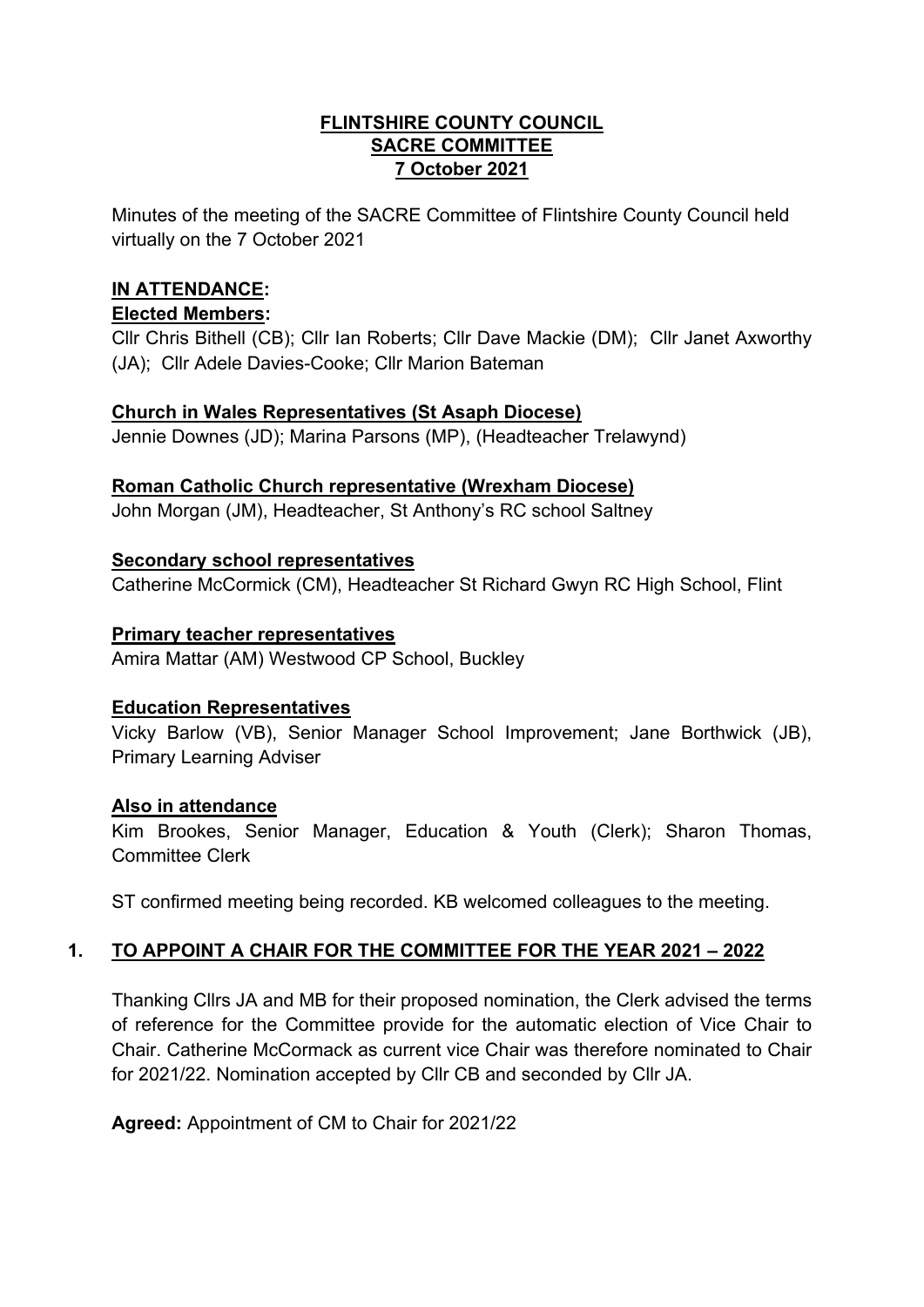#### **FLINTSHIRE COUNTY COUNCIL SACRE COMMITTEE 7 October 2021**

Minutes of the meeting of the SACRE Committee of Flintshire County Council held virtually on the 7 October 2021

# **IN ATTENDANCE:**

## **Elected Members:**

Cllr Chris Bithell (CB); Cllr Ian Roberts; Cllr Dave Mackie (DM); Cllr Janet Axworthy (JA); Cllr Adele Davies-Cooke; Cllr Marion Bateman

# **Church in Wales Representatives (St Asaph Diocese)**

Jennie Downes (JD); Marina Parsons (MP), (Headteacher Trelawynd)

# **Roman Catholic Church representative (Wrexham Diocese)**

John Morgan (JM), Headteacher, St Anthony's RC school Saltney

### **Secondary school representatives**

Catherine McCormick (CM), Headteacher St Richard Gwyn RC High School, Flint

# **Primary teacher representatives**

Amira Mattar (AM) Westwood CP School, Buckley

### **Education Representatives**

Vicky Barlow (VB), Senior Manager School Improvement; Jane Borthwick (JB), Primary Learning Adviser

### **Also in attendance**

Kim Brookes, Senior Manager, Education & Youth (Clerk); Sharon Thomas, Committee Clerk

ST confirmed meeting being recorded. KB welcomed colleagues to the meeting.

# **1. TO APPOINT A CHAIR FOR THE COMMITTEE FOR THE YEAR 2021 – 2022**

Thanking Cllrs JA and MB for their proposed nomination, the Clerk advised the terms of reference for the Committee provide for the automatic election of Vice Chair to Chair. Catherine McCormack as current vice Chair was therefore nominated to Chair for 2021/22. Nomination accepted by Cllr CB and seconded by Cllr JA.

**Agreed:** Appointment of CM to Chair for 2021/22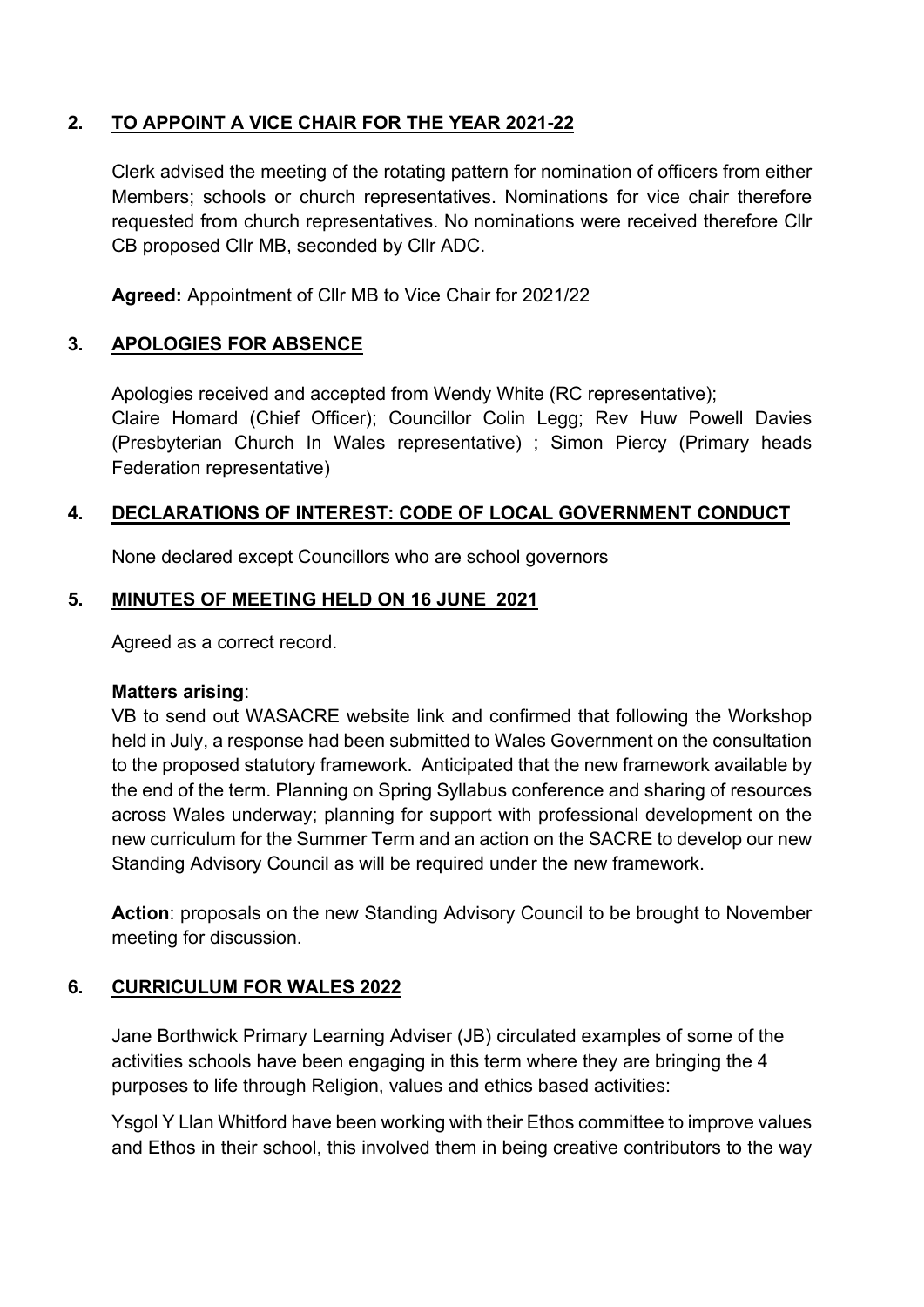# **2. TO APPOINT A VICE CHAIR FOR THE YEAR 2021-22**

Clerk advised the meeting of the rotating pattern for nomination of officers from either Members; schools or church representatives. Nominations for vice chair therefore requested from church representatives. No nominations were received therefore Cllr CB proposed Cllr MB, seconded by Cllr ADC.

**Agreed:** Appointment of Cllr MB to Vice Chair for 2021/22

# **3. APOLOGIES FOR ABSENCE**

Apologies received and accepted from Wendy White (RC representative); Claire Homard (Chief Officer); Councillor Colin Legg; Rev Huw Powell Davies (Presbyterian Church In Wales representative) ; Simon Piercy (Primary heads Federation representative)

### **4. DECLARATIONS OF INTEREST: CODE OF LOCAL GOVERNMENT CONDUCT**

None declared except Councillors who are school governors

#### **5. MINUTES OF MEETING HELD ON 16 JUNE 2021**

Agreed as a correct record.

#### **Matters arising**:

VB to send out WASACRE website link and confirmed that following the Workshop held in July, a response had been submitted to Wales Government on the consultation to the proposed statutory framework. Anticipated that the new framework available by the end of the term. Planning on Spring Syllabus conference and sharing of resources across Wales underway; planning for support with professional development on the new curriculum for the Summer Term and an action on the SACRE to develop our new Standing Advisory Council as will be required under the new framework.

**Action**: proposals on the new Standing Advisory Council to be brought to November meeting for discussion.

### **6. CURRICULUM FOR WALES 2022**

Jane Borthwick Primary Learning Adviser (JB) circulated examples of some of the activities schools have been engaging in this term where they are bringing the 4 purposes to life through Religion, values and ethics based activities:

Ysgol Y Llan Whitford have been working with their Ethos committee to improve values and Ethos in their school, this involved them in being creative contributors to the way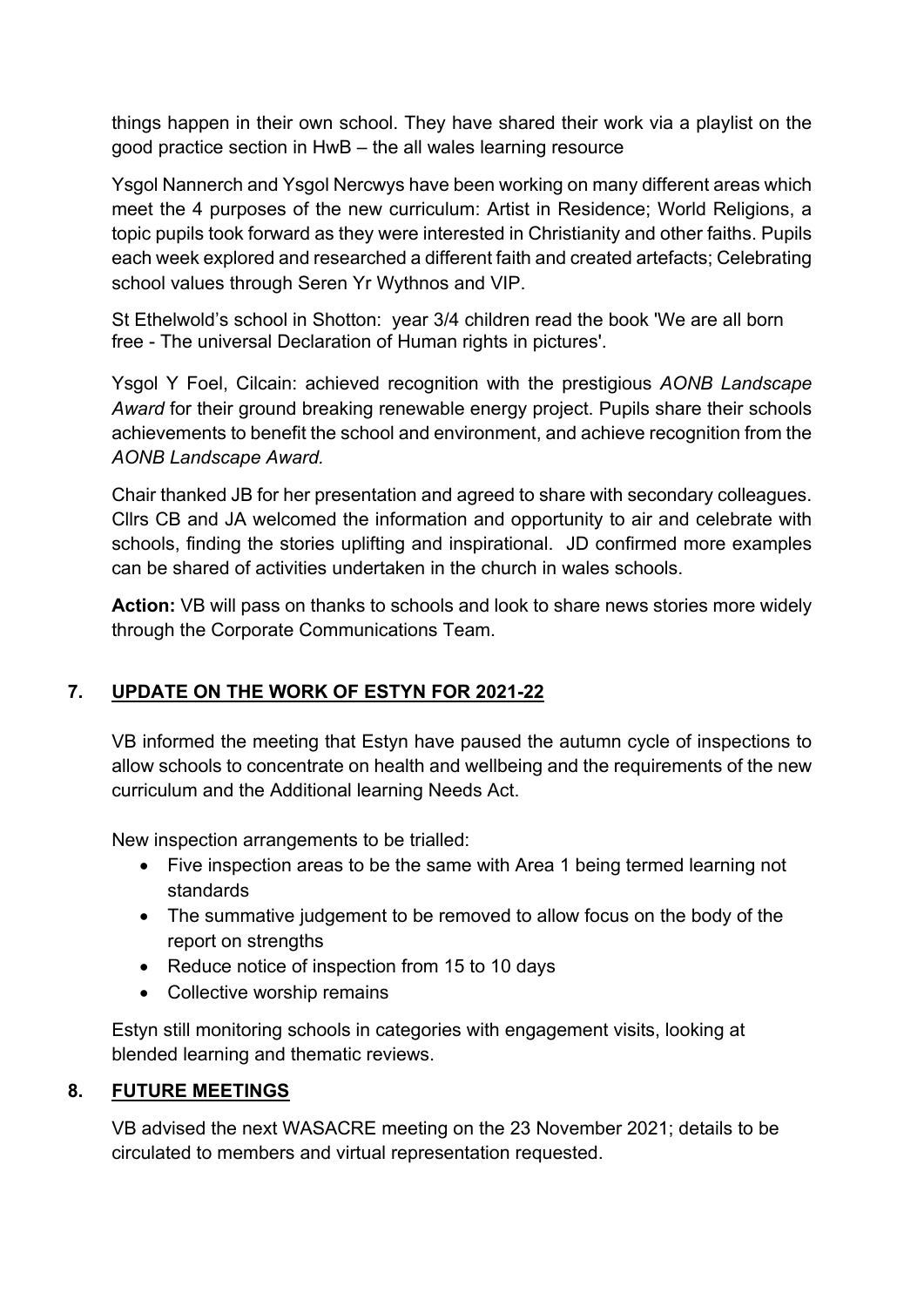things happen in their own school. They have shared their work via a playlist on the good practice section in HwB – the all wales learning resource

Ysgol Nannerch and Ysgol Nercwys have been working on many different areas which meet the 4 purposes of the new curriculum: Artist in Residence; World Religions, a topic pupils took forward as they were interested in Christianity and other faiths. Pupils each week explored and researched a different faith and created artefacts; Celebrating school values through Seren Yr Wythnos and VIP.

St Ethelwold's school in Shotton: year 3/4 children read the book 'We are all born free - The universal Declaration of Human rights in pictures'.

Ysgol Y Foel, Cilcain: achieved recognition with the prestigious *AONB Landscape Award* for their ground breaking renewable energy project. Pupils share their schools achievements to benefit the school and environment, and achieve recognition from the *AONB Landscape Award.*

Chair thanked JB for her presentation and agreed to share with secondary colleagues. Cllrs CB and JA welcomed the information and opportunity to air and celebrate with schools, finding the stories uplifting and inspirational. JD confirmed more examples can be shared of activities undertaken in the church in wales schools.

**Action:** VB will pass on thanks to schools and look to share news stories more widely through the Corporate Communications Team.

# **7. UPDATE ON THE WORK OF ESTYN FOR 2021-22**

VB informed the meeting that Estyn have paused the autumn cycle of inspections to allow schools to concentrate on health and wellbeing and the requirements of the new curriculum and the Additional learning Needs Act.

New inspection arrangements to be trialled:

- Five inspection areas to be the same with Area 1 being termed learning not standards
- The summative judgement to be removed to allow focus on the body of the report on strengths
- Reduce notice of inspection from 15 to 10 days
- Collective worship remains

Estyn still monitoring schools in categories with engagement visits, looking at blended learning and thematic reviews.

### **8. FUTURE MEETINGS**

VB advised the next WASACRE meeting on the 23 November 2021; details to be circulated to members and virtual representation requested.